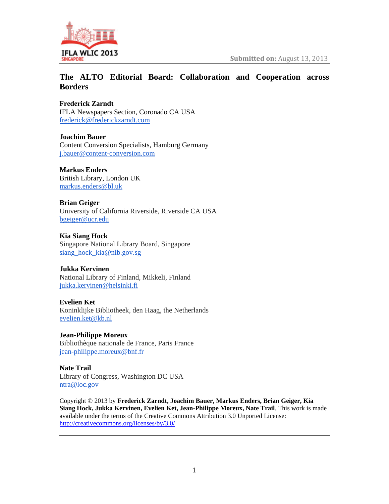

# **The ALTO Editorial Board: Collaboration and Cooperation across Borders**

**Frederick Zarndt**

IFLA Newspapers Section, Coronado CA USA frederick@frederickzarndt.com

**Joachim Bauer** Content Conversion Specialists, Hamburg Germany j.bauer@content-conversion.com

**Markus Enders** British Library, London UK markus.enders@bl.uk

**Brian Geiger** University of California Riverside, Riverside CA USA bgeiger@ucr.edu

**Kia Siang Hock** Singapore National Library Board, Singapore siang\_hock\_kia@nlb.gov.sg

# **Jukka Kervinen**

National Library of Finland, Mikkeli, Finland jukka.kervinen@helsinki.fi

**Evelien Ket**

Koninklijke Bibliotheek, den Haag, the Netherlands evelien.ket@kb.nl

**Jean-Philippe Moreux** Bibliothèque nationale de France, Paris France jean-philippe.moreux@bnf.fr

**Nate Trail** Library of Congress, Washington DC USA ntra@loc.gov

Copyright © 2013 by **Frederick Zarndt, Joachim Bauer, Markus Enders, Brian Geiger, Kia Siang Hock, Jukka Kervinen, Evelien Ket, Jean-Philippe Moreux, Nate Trail**. This work is made available under the terms of the Creative Commons Attribution 3.0 Unported License: http://creativecommons.org/licenses/by/3.0/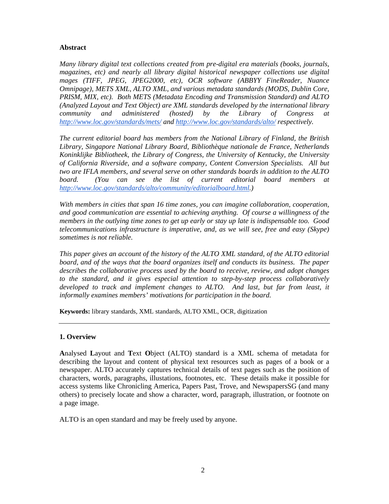### **Abstract**

*Many library digital text collections created from pre-digital era materials (books, journals, magazines, etc) and nearly all library digital historical newspaper collections use digital mages (TIFF, JPEG, JPEG2000, etc), OCR software (ABBYY FineReader, Nuance Omnipage), METS XML, ALTO XML, and various metadata standards (MODS, Dublin Core, PRISM, MIX, etc). Both METS (Metadata Encoding and Transmission Standard) and ALTO (Analyzed Layout and Text Object) are XML standards developed by the international library community and administered (hosted) by the Library of Congress at http://www.loc.gov/standards/mets/ and http://www.loc.gov/standards/alto/ respectively.*

*The current editorial board has members from the National Library of Finland, the British Library, Singapore National Library Board, Bibliothèque nationale de France, Netherlands Koninklijke Bibliotheek, the Library of Congress, the University of Kentucky, the University of California Riverside, and a software company, Content Conversion Specialists. All but two are IFLA members, and several serve on other standards boards in addition to the ALTO board. (You can see the list of current editorial board members at http://www.loc.gov/standards/alto/community/editorialboard.html.)*

*With members in cities that span 16 time zones, you can imagine collaboration, cooperation, and good communication are essential to achieving anything. Of course a willingness of the members in the outlying time zones to get up early or stay up late is indispensable too. Good telecommunications infrastructure is imperative, and, as we will see, free and easy (Skype) sometimes is not reliable.* 

*This paper gives an account of the history of the ALTO XML standard, of the ALTO editorial board, and of the ways that the board organizes itself and conducts its business. The paper describes the collaborative process used by the board to receive, review, and adopt changes to the standard, and it gives especial attention to step-by-step process collaboratively developed to track and implement changes to ALTO. And last, but far from least, it informally examines members' motivations for participation in the board.*

**Keywords:** library standards, XML standards, ALTO XML, OCR, digitization

# **1. Overview**

**A**nalysed **L**ayout and **T**ext **O**bject (ALTO) standard is a XML schema of metadata for describing the layout and content of physical text resources such as pages of a book or a newspaper. ALTO accurately captures technical details of text pages such as the position of characters, words, paragraphs, illustations, footnotes, etc. These details make it possible for access systems like Chronicling America, Papers Past, Trove, and NewspapersSG (and many others) to precisely locate and show a character, word, paragraph, illustration, or footnote on a page image.

ALTO is an open standard and may be freely used by anyone.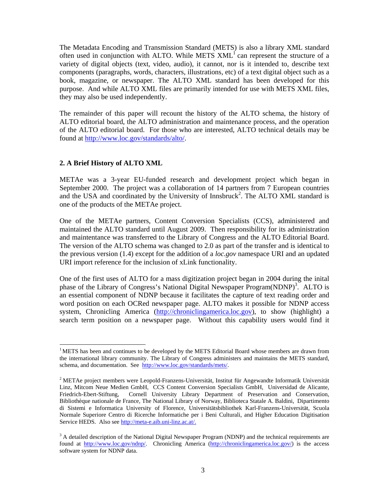The Metadata Encoding and Transmission Standard (METS) is also a library XML standard often used in conjunction with ALTO. While METS  $XML<sup>1</sup>$  can represent the structure of a variety of digital objects (text, video, audio), it cannot, nor is it intended to, describe text components (paragraphs, words, characters, illustrations, etc) of a text digital object such as a book, magazine, or newspaper. The ALTO XML standard has been developed for this purpose. And while ALTO XML files are primarily intended for use with METS XML files, they may also be used independently.

The remainder of this paper will recount the history of the ALTO schema, the history of ALTO editorial board, the ALTO administration and maintenance process, and the operation of the ALTO editorial board. For those who are interested, ALTO technical details may be found at http://www.loc.gov/standards/alto/.

#### **2. A Brief History of ALTO XML**

 

METAe was a 3-year EU-funded research and development project which began in September 2000. The project was a collaboration of 14 partners from 7 European countries and the USA and coordinated by the University of Innsbruck<sup>2</sup>. The ALTO XML standard is one of the products of the METAe project.

One of the METAe partners, Content Conversion Specialists (CCS), administered and maintained the ALTO standard until August 2009. Then responsibility for its administration and maintentance was transferred to the Library of Congress and the ALTO Editorial Board. The version of the ALTO schema was changed to 2.0 as part of the transfer and is identical to the previous version (1.4) except for the addition of a *loc.gov* namespace URI and an updated URI import reference for the inclusion of xLink functionality.

One of the first uses of ALTO for a mass digitization project began in 2004 during the inital phase of the Library of Congress's National Digital Newspaper Program(NDNP)<sup>3</sup>. ALTO is an essential component of NDNP because it facilitates the capture of text reading order and word position on each OCRed newspaper page. ALTO makes it possible for NDNP access system, Chronicling America (http://chroniclingamerica.loc.gov), to show (highlight) a search term position on a newspaper page. Without this capability users would find it

 $<sup>1</sup>$ METS has been and continues to be developed by the METS Editorial Board whose members are drawn from</sup> the international library community. The Library of Congress administers and maintains the METS standard, schema, and documentation. See http://www.loc.gov/standards/mets/.

 $2$  METAe project members were Leopold-Franzens-Universität, Institut für Angewandte Informatik Universität Linz, Mitcom Neue Medien GmbH, CCS Content Conversion Specialists GmbH, Universidad de Alicante, Friedrich-Ebert-Stiftung, Cornell University Library Department of Preservation and Conservation, Bibliothèque nationale de France, The National Library of Norway, Biblioteca Statale A. Baldini, Dipartimento di Sistemi e Informatica University of Florence, Universitätsbibliothek Karl-Franzens-Universität, Scuola Normale Superiore Centro di Ricerche Informatiche per i Beni Culturali, and Higher Education Digitisation Service HEDS. Also see http://meta-e.aib.uni-linz.ac.at/.

<sup>&</sup>lt;sup>3</sup> A detailed description of the National Digital Newspaper Program (NDNP) and the technical requirements are found at http://www.loc.gov/ndnp/. Chronicling America (http://chroniclingamerica.loc.gov/) is the access software system for NDNP data.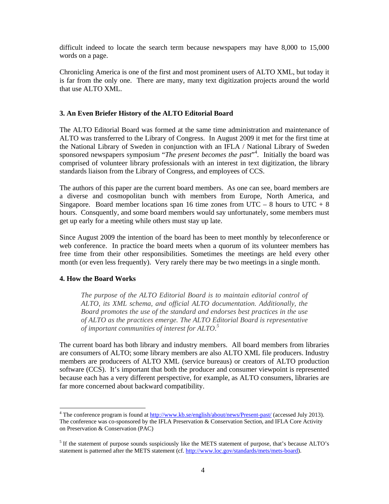difficult indeed to locate the search term because newspapers may have 8,000 to 15,000 words on a page.

Chronicling America is one of the first and most prominent users of ALTO XML, but today it is far from the only one. There are many, many text digitization projects around the world that use ALTO XML.

# **3. An Even Briefer History of the ALTO Editorial Board**

The ALTO Editorial Board was formed at the same time administration and maintenance of ALTO was transferred to the Library of Congress. In August 2009 it met for the first time at the National Library of Sweden in conjunction with an IFLA / National Library of Sweden sponsored newspapers symposium "*The present becomes the past*"<sup>4</sup>. Initially the board was comprised of volunteer library professionals with an interest in text digitization, the library standards liaison from the Library of Congress, and employees of CCS.

The authors of this paper are the current board members. As one can see, board members are a diverse and cosmopolitan bunch with members from Europe, North America, and Singapore. Board member locations span 16 time zones from UTC – 8 hours to UTC + 8 hours. Consquently, and some board members would say unfortunately, some members must get up early for a meeting while others must stay up late.

Since August 2009 the intention of the board has been to meet monthly by teleconference or web conference. In practice the board meets when a quorum of its volunteer members has free time from their other responsibilities. Sometimes the meetings are held every other month (or even less frequently). Very rarely there may be two meetings in a single month.

### **4. How the Board Works**

 

*The purpose of the ALTO Editorial Board is to maintain editorial control of ALTO, its XML schema, and official ALTO documentation. Additionally, the Board promotes the use of the standard and endorses best practices in the use of ALTO as the practices emerge. The ALTO Editorial Board is representative of important communities of interest for ALTO.*<sup>5</sup>

The current board has both library and industry members. All board members from libraries are consumers of ALTO; some library members are also ALTO XML file producers. Industry members are produceers of ALTO XML (service bureaus) or creators of ALTO production software (CCS). It's important that both the producer and consumer viewpoint is represented because each has a very different perspective, for example, as ALTO consumers, libraries are far more concerned about backward compatibility.

<sup>&</sup>lt;sup>4</sup> The conference program is found at  $\frac{http://www.kb.se/english/about/news/Present-past/}{}$  (accessed July 2013). The conference was co-sponsored by the IFLA Preservation & Conservation Section, and IFLA Core Activity on Preservation & Conservation (PAC)

<sup>&</sup>lt;sup>5</sup> If the statement of purpose sounds suspiciously like the METS statement of purpose, that's because ALTO's statement is patterned after the METS statement (cf. http://www.loc.gov/standards/mets/mets-board).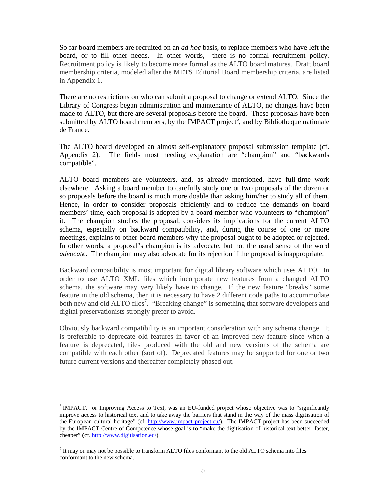So far board members are recruited on an *ad hoc* basis, to replace members who have left the board, or to fill other needs. In other words, there is no formal recruitment policy. Recruitment policy is likely to become more formal as the ALTO board matures. Draft board membership criteria, modeled after the METS Editorial Board membership criteria, are listed in Appendix 1.

There are no restrictions on who can submit a proposal to change or extend ALTO. Since the Library of Congress began administration and maintenance of ALTO, no changes have been made to ALTO, but there are several proposals before the board. These proposals have been submitted by ALTO board members, by the IMPACT project<sup>6</sup>, and by Bibliotheque nationale de France.

The ALTO board developed an almost self-explanatory proposal submission template (cf. Appendix 2). The fields most needing explanation are "champion" and "backwards compatible".

ALTO board members are volunteers, and, as already mentioned, have full-time work elsewhere. Asking a board member to carefully study one or two proposals of the dozen or so proposals before the board is much more doable than asking him/her to study all of them. Hence, in order to consider proposals efficiently and to reduce the demands on board members' time, each proposal is adopted by a board member who volunteers to "champion" it. The champion studies the proposal, considers its implications for the current ALTO schema, especially on backward compatibility, and, during the course of one or more meetings, explains to other board members why the proposal ought to be adopted or rejected. In other words, a proposal's champion is its advocate, but not the usual sense of the word *advocate*. The champion may also advocate for its rejection if the proposal is inappropriate.

Backward compatibility is most important for digital library software which uses ALTO. In order to use ALTO XML files which incorporate new features from a changed ALTO schema, the software may very likely have to change. If the new feature "breaks" some feature in the old schema, then it is necessary to have 2 different code paths to accommodate both new and old ALTO files<sup>7</sup>. "Breaking change" is something that software developers and digital preservationists strongly prefer to avoid.

Obviously backward compatibility is an important consideration with any schema change. It is preferable to deprecate old features in favor of an improved new feature since when a feature is deprecated, files produced with the old and new versions of the schema are compatible with each other (sort of). Deprecated features may be supported for one or two future current versions and thereafter completely phased out.

 

<sup>&</sup>lt;sup>6</sup> IMPACT, or Improving Access to Text, was an EU-funded project whose objective was to "significantly improve access to historical text and to take away the barriers that stand in the way of the mass digitisation of the European cultural heritage" (cf. http://www.impact-project.eu/). The IMPACT project has been succeeded by the IMPACT Centre of Competence whose goal is to "make the digitisation of historical text better, faster, cheaper" (cf. http://www.digitisation.eu/).

 $<sup>7</sup>$  It may or may not be possible to transform ALTO files conformant to the old ALTO schema into files</sup> conformant to the new schema.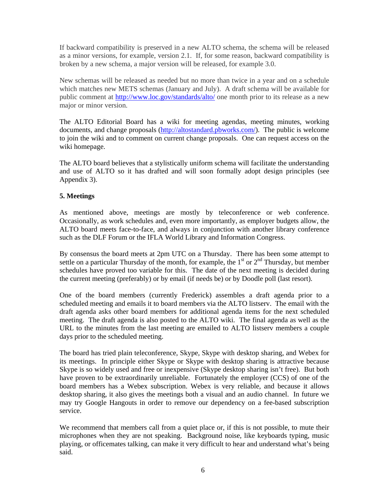If backward compatibility is preserved in a new ALTO schema, the schema will be released as a minor versions, for example, version 2.1. If, for some reason, backward compatibility is broken by a new schema, a major version will be released, for example 3.0.

New schemas will be released as needed but no more than twice in a year and on a schedule which matches new METS schemas (January and July). A draft schema will be available for public comment at http://www.loc.gov/standards/alto/ one month prior to its release as a new major or minor version.

The ALTO Editorial Board has a wiki for meeting agendas, meeting minutes, working documents, and change proposals (http://altostandard.pbworks.com/). The public is welcome to join the wiki and to comment on current change proposals. One can request access on the wiki homepage.

The ALTO board believes that a stylistically uniform schema will facilitate the understanding and use of ALTO so it has drafted and will soon formally adopt design principles (see Appendix 3).

# **5. Meetings**

As mentioned above, meetings are mostly by teleconference or web conference. Occasionally, as work schedules and, even more importantly, as employer budgets allow, the ALTO board meets face-to-face, and always in conjunction with another library conference such as the DLF Forum or the IFLA World Library and Information Congress.

By consensus the board meets at 2pm UTC on a Thursday. There has been some attempt to settle on a particular Thursday of the month, for example, the  $1<sup>st</sup>$  or  $2<sup>nd</sup>$  Thursday, but member schedules have proved too variable for this. The date of the next meeting is decided during the current meeting (preferably) or by email (if needs be) or by Doodle poll (last resort).

One of the board members (currently Frederick) assembles a draft agenda prior to a scheduled meeting and emails it to board members via the ALTO listserv. The email with the draft agenda asks other board members for additional agenda items for the next scheduled meeting. The draft agenda is also posted to the ALTO wiki. The final agenda as well as the URL to the minutes from the last meeting are emailed to ALTO listserv members a couple days prior to the scheduled meeting.

The board has tried plain teleconference, Skype, Skype with desktop sharing, and Webex for its meetings. In principle either Skype or Skype with desktop sharing is attractive because Skype is so widely used and free or inexpensive (Skype desktop sharing isn't free). But both have proven to be extraordinarily unreliable. Fortunately the employer (CCS) of one of the board members has a Webex subscription. Webex is very reliable, and because it allows desktop sharing, it also gives the meetings both a visual and an audio channel. In future we may try Google Hangouts in order to remove our dependency on a fee-based subscription service.

We recommend that members call from a quiet place or, if this is not possible, to mute their microphones when they are not speaking. Background noise, like keyboards typing, music playing, or officemates talking, can make it very difficult to hear and understand what's being said.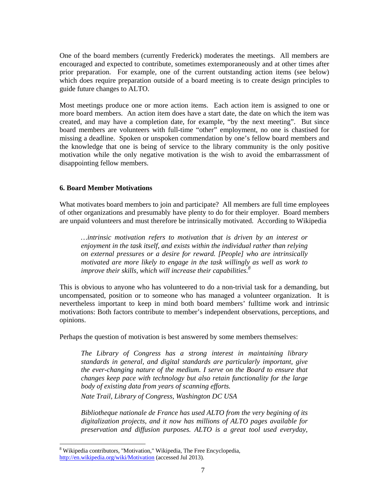One of the board members (currently Frederick) moderates the meetings. All members are encouraged and expected to contribute, sometimes extemporaneously and at other times after prior preparation. For example, one of the current outstanding action items (see below) which does require preparation outside of a board meeting is to create design principles to guide future changes to ALTO.

Most meetings produce one or more action items. Each action item is assigned to one or more board members. An action item does have a start date, the date on which the item was created, and may have a completion date, for example, "by the next meeting". But since board members are volunteers with full-time "other" employment, no one is chastised for missing a deadline. Spoken or unspoken commendation by one's fellow board members and the knowledge that one is being of service to the library community is the only positive motivation while the only negative motivation is the wish to avoid the embarrassment of disappointing fellow members.

### **6. Board Member Motivations**

What motivates board members to join and participate? All members are full time employees of other organizations and presumably have plenty to do for their employer. Board members are unpaid volunteers and must therefore be intrinsically motivated. According to Wikipedia

*…intrinsic motivation refers to motivation that is driven by an interest or enjoyment in the task itself, and exists within the individual rather than relying on external pressures or a desire for reward. [People] who are intrinsically motivated are more likely to engage in the task willingly as well as work to improve their skills, which will increase their capabilities.8*

This is obvious to anyone who has volunteered to do a non-trivial task for a demanding, but uncompensated, position or to someone who has managed a volunteer organization. It is nevertheless important to keep in mind both board members' fulltime work and intrinsic motivations: Both factors contribute to member's independent observations, perceptions, and opinions.

Perhaps the question of motivation is best answered by some members themselves:

*The Library of Congress has a strong interest in maintaining library standards in general, and digital standards are particularly important, give the ever-changing nature of the medium. I serve on the Board to ensure that changes keep pace with technology but also retain functionality for the large body of existing data from years of scanning efforts.* 

*Nate Trail, Library of Congress, Washington DC USA* 

*Bibliotheque nationale de France has used ALTO from the very begining of its digitalization projects, and it now has millions of ALTO pages available for preservation and diffusion purposes. ALTO is a great tool used everyday,* 

 

<sup>&</sup>lt;sup>8</sup> Wikipedia contributors, "Motivation," Wikipedia, The Free Encyclopedia, http://en.wikipedia.org/wiki/Motivation (accessed Jul 2013).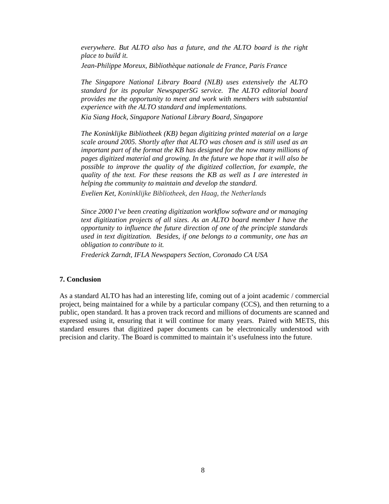*everywhere. But ALTO also has a future, and the ALTO board is the right place to build it.* 

*Jean-Philippe Moreux, Bibliothèque nationale de France, Paris France* 

*The Singapore National Library Board (NLB) uses extensively the ALTO standard for its popular NewspaperSG service. The ALTO editorial board provides me the opportunity to meet and work with members with substantial experience with the ALTO standard and implementations.* 

*Kia Siang Hock, Singapore National Library Board, Singapore* 

*The Koninklijke Bibliotheek (KB) began digitizing printed material on a large scale around 2005. Shortly after that ALTO was chosen and is still used as an important part of the format the KB has designed for the now many millions of pages digitized material and growing. In the future we hope that it will also be possible to improve the quality of the digitized collection, for example, the quality of the text. For these reasons the KB as well as I are interested in helping the community to maintain and develop the standard.* 

*Evelien Ket, Koninklijke Bibliotheek, den Haag, the Netherlands* 

*Since 2000 I've been creating digitization workflow software and or managing text digitization projects of all sizes. As an ALTO board member I have the opportunity to influence the future direction of one of the principle standards used in text digitization. Besides, if one belongs to a community, one has an obligation to contribute to it.* 

*Frederick Zarndt, IFLA Newspapers Section, Coronado CA USA* 

#### **7. Conclusion**

As a standard ALTO has had an interesting life, coming out of a joint academic / commercial project, being maintained for a while by a particular company (CCS), and then returning to a public, open standard. It has a proven track record and millions of documents are scanned and expressed using it, ensuring that it will continue for many years. Paired with METS, this standard ensures that digitized paper documents can be electronically understood with precision and clarity. The Board is committed to maintain it's usefulness into the future.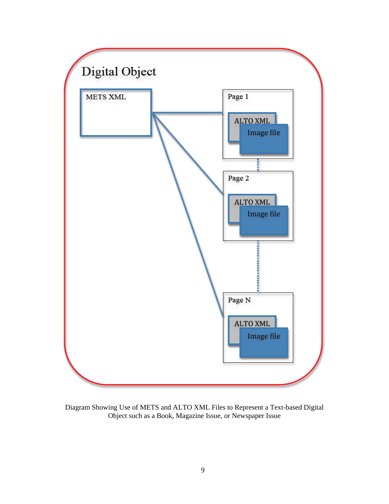

Diagram Showing Use of METS and ALTO XML Files to Represent a Text-based Digital Object such as a Book, Magazine Issue, or Newspaper Issue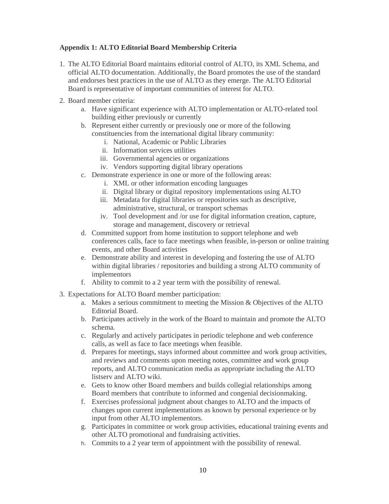# **Appendix 1: ALTO Editorial Board Membership Criteria**

- 1. The ALTO Editorial Board maintains editorial control of ALTO, its XML Schema, and official ALTO documentation. Additionally, the Board promotes the use of the standard and endorses best practices in the use of ALTO as they emerge. The ALTO Editorial Board is representative of important communities of interest for ALTO.
- 2. Board member criteria:
	- a. Have significant experience with ALTO implementation or ALTO-related tool building either previously or currently
	- b. Represent either currently or previously one or more of the following constituencies from the international digital library community:
		- i. National, Academic or Public Libraries
		- ii. Information services utilities
		- iii. Governmental agencies or organizations
		- iv. Vendors supporting digital library operations
	- c. Demonstrate experience in one or more of the following areas:
		- i. XML or other information encoding languages
		- ii. Digital library or digital repository implementations using ALTO
		- iii. Metadata for digital libraries or repositories such as descriptive, administrative, structural, or transport schemas
		- iv. Tool development and /or use for digital information creation, capture, storage and management, discovery or retrieval
	- d. Committed support from home institution to support telephone and web conferences calls, face to face meetings when feasible, in-person or online training events, and other Board activities
	- e. Demonstrate ability and interest in developing and fostering the use of ALTO within digital libraries / repositories and building a strong ALTO community of implementors
	- f. Ability to commit to a 2 year term with the possibility of renewal.
- 3. Expectations for ALTO Board member participation:
	- a. Makes a serious commitment to meeting the Mission & Objectives of the ALTO Editorial Board.
	- b. Participates actively in the work of the Board to maintain and promote the ALTO schema.
	- c. Regularly and actively participates in periodic telephone and web conference calls, as well as face to face meetings when feasible.
	- d. Prepares for meetings, stays informed about committee and work group activities, and reviews and comments upon meeting notes, committee and work group reports, and ALTO communication media as appropriate including the ALTO listserv and ALTO wiki.
	- e. Gets to know other Board members and builds collegial relationships among Board members that contribute to informed and congenial decisionmaking.
	- f. Exercises professional judgment about changes to ALTO and the impacts of changes upon current implementations as known by personal experience or by input from other ALTO implementors.
	- g. Participates in committee or work group activities, educational training events and other ALTO promotional and fundraising activities.
	- h. Commits to a 2 year term of appointment with the possibility of renewal.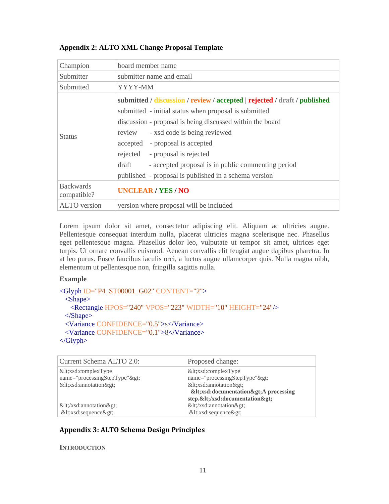## **Appendix 2: ALTO XML Change Proposal Template**

| Champion                        | board member name                                                                                                                                                                                                                                                                                                                                                                                                                       |
|---------------------------------|-----------------------------------------------------------------------------------------------------------------------------------------------------------------------------------------------------------------------------------------------------------------------------------------------------------------------------------------------------------------------------------------------------------------------------------------|
| Submitter                       | submitter name and email                                                                                                                                                                                                                                                                                                                                                                                                                |
| Submitted                       | YYYY-MM                                                                                                                                                                                                                                                                                                                                                                                                                                 |
| <b>Status</b>                   | submitted / discussion / review / accepted   rejected / draft / published<br>submitted - initial status when proposal is submitted<br>discussion - proposal is being discussed within the board<br>review<br>- xsd code is being reviewed<br>accepted - proposal is accepted<br>rejected - proposal is rejected<br>draft<br>- accepted proposal is in public commenting period<br>published - proposal is published in a schema version |
| <b>Backwards</b><br>compatible? | <b>UNCLEAR/YES/NO</b>                                                                                                                                                                                                                                                                                                                                                                                                                   |
| <b>ALTO</b> version             | version where proposal will be included                                                                                                                                                                                                                                                                                                                                                                                                 |

Lorem ipsum dolor sit amet, consectetur adipiscing elit. Aliquam ac ultricies augue. Pellentesque consequat interdum nulla, placerat ultricies magna scelerisque nec. Phasellus eget pellentesque magna. Phasellus dolor leo, vulputate ut tempor sit amet, ultrices eget turpis. Ut ornare convallis euismod. Aenean convallis elit feugiat augue dapibus pharetra. In at leo purus. Fusce faucibus iaculis orci, a luctus augue ullamcorper quis. Nulla magna nibh, elementum ut pellentesque non, fringilla sagittis nulla.

### **Example**

```
<Glyph ID="P4_ST00001_G02" CONTENT="2">
  <Shape>
    <Rectangle HPOS="240" VPOS="223" WIDTH="10" HEIGHT="24"/>
  </Shape>
  <Variance CONFIDENCE="0.5">s</Variance>
  <Variance CONFIDENCE="0.1">8</Variance>
</Glyph>
```

```
Current Schema ALTO 2.0: Proposed change:
&lt;xsd:complexType
name="processingStepType">
<xsd:annotation&gt;
</xsd:annotation&gt;
<xsd:sequence&gt;
                                          &lt;xsd:complexType
                                          name="processingStepType">
                                          &dt:xsd:annotation & gt;
                                          &dt;xsd:documentation >A processing
                                          step.</xsd:documentation&gt;
                                          </xsd:annotation&gt;
                                          <xsd:sequence&gt;
```
# **Appendix 3: ALTO Schema Design Principles**

#### **INTRODUCTION**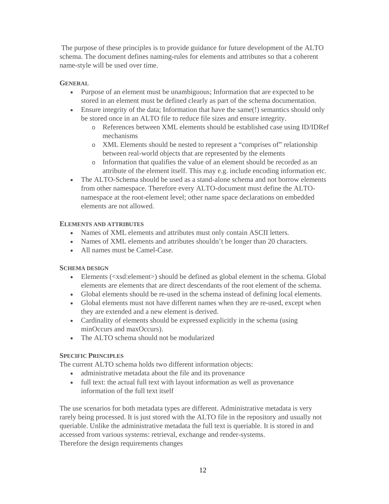The purpose of these principles is to provide guidance for future development of the ALTO schema. The document defines naming-rules for elements and attributes so that a coherent name-style will be used over time.

### **GENERAL**

- Purpose of an element must be unambiguous; Information that are expected to be stored in an element must be defined clearly as part of the schema documentation.
- Ensure integrity of the data; Information that have the same(!) semantics should only be stored once in an ALTO file to reduce file sizes and ensure integrity.
	- o References between XML elements should be established case using ID/IDRef mechanisms
	- o XML Elements should be nested to represent a "comprises of" relationship between real-world objects that are represented by the elements
	- o Information that qualifies the value of an element should be recorded as an attribute of the element itself. This may e.g. include encoding information etc.
- The ALTO-Schema should be used as a stand-alone schema and not borrow elements from other namespace. Therefore every ALTO-document must define the ALTOnamespace at the root-element level; other name space declarations on embedded elements are not allowed.

### **ELEMENTS AND ATTRIBUTES**

- Names of XML elements and attributes must only contain ASCII letters.
- Names of XML elements and attributes shouldn't be longer than 20 characters.
- All names must be Camel-Case.

### **SCHEMA DESIGN**

- Elements (<xsd:element>) should be defined as global element in the schema. Global elements are elements that are direct descendants of the root element of the schema.
- Global elements should be re-used in the schema instead of defining local elements.
- Global elements must not have different names when they are re-used, except when they are extended and a new element is derived.
- Cardinality of elements should be expressed explicitly in the schema (using minOccurs and maxOccurs).
- The ALTO schema should not be modularized

### **SPECIFIC PRINCIPLES**

The current ALTO schema holds two different information objects:

- administrative metadata about the file and its provenance
- full text: the actual full text with layout information as well as provenance information of the full text itself

The use scenarios for both metadata types are different. Administrative metadata is very rarely being processed. It is just stored with the ALTO file in the repository and usually not queriable. Unlike the administrative metadata the full text is queriable. It is stored in and accessed from various systems: retrieval, exchange and render-systems. Therefore the design requirements changes